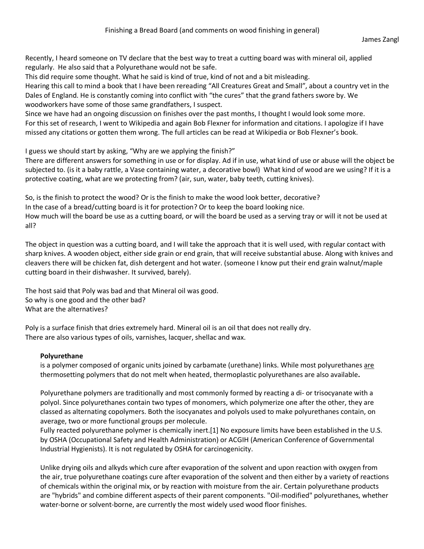Recently, I heard someone on TV declare that the best way to treat a cutting board was with mineral oil, applied regularly. He also said that a Polyurethane would not be safe.

This did require some thought. What he said is kind of true, kind of not and a bit misleading.

Hearing this call to mind a book that I have been rereading "All Creatures Great and Small", about a country vet in the Dales of England. He is constantly coming into conflict with "the cures" that the grand fathers swore by. We woodworkers have some of those same grandfathers, I suspect.

Since we have had an ongoing discussion on finishes over the past months, I thought I would look some more. For this set of research, I went to Wikipedia and again Bob Flexner for information and citations. I apologize if I have missed any citations or gotten them wrong. The full articles can be read at Wikipedia or Bob Flexner's book.

I guess we should start by asking, "Why are we applying the finish?"

There are different answers for something in use or for display. Ad if in use, what kind of use or abuse will the object be subjected to. (is it a baby rattle, a Vase containing water, a decorative bowl) What kind of wood are we using? If it is a protective coating, what are we protecting from? (air, sun, water, baby teeth, cutting knives).

So, is the finish to protect the wood? Or is the finish to make the wood look better, decorative? In the case of a bread/cutting board is it for protection? Or to keep the board looking nice. How much will the board be use as a cutting board, or will the board be used as a serving tray or will it not be used at all?

The object in question was a cutting board, and I will take the approach that it is well used, with regular contact with sharp knives. A wooden object, either side grain or end grain, that will receive substantial abuse. Along with knives and cleavers there will be chicken fat, dish detergent and hot water. (someone I know put their end grain walnut/maple cutting board in their dishwasher. It survived, barely).

The host said that Poly was bad and that Mineral oil was good. So why is one good and the other bad? What are the alternatives?

Poly is a surface finish that dries extremely hard. Mineral oil is an oil that does not really dry. There are also various types of oils, varnishes, lacquer, shellac and wax.

# **Polyurethane**

is a polymer composed of organic units joined by carbamate (urethane) links. While most polyurethanes are thermosetting polymers that do not melt when heated, thermoplastic polyurethanes are also available**.**

Polyurethane polymers are traditionally and most commonly formed by reacting a di- or trisocyanate with a polyol. Since polyurethanes contain two types of monomers, which polymerize one after the other, they are classed as alternating copolymers. Both the isocyanates and polyols used to make polyurethanes contain, on average, two or more functional groups per molecule.

Fully reacted polyurethane polymer is chemically inert.[1] No exposure limits have been established in the U.S. by OSHA (Occupational Safety and Health Administration) or ACGIH (American Conference of Governmental Industrial Hygienists). It is not regulated by OSHA for carcinogenicity.

Unlike drying oils and alkyds which cure after evaporation of the solvent and upon reaction with oxygen from the air, true polyurethane coatings cure after evaporation of the solvent and then either by a variety of reactions of chemicals within the original mix, or by reaction with moisture from the air. Certain polyurethane products are "hybrids" and combine different aspects of their parent components. "Oil-modified" polyurethanes, whether water-borne or solvent-borne, are currently the most widely used wood floor finishes.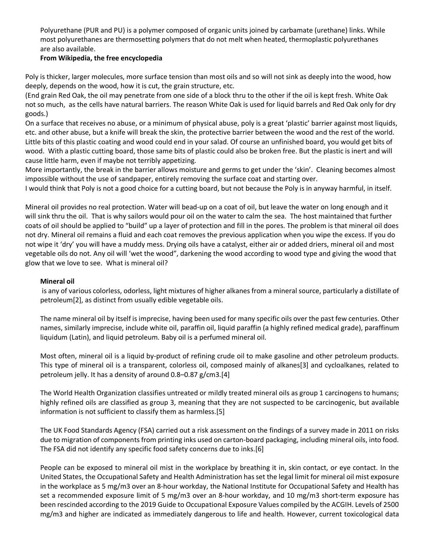Polyurethane (PUR and PU) is a polymer composed of organic units joined by carbamate (urethane) links. While most polyurethanes are thermosetting polymers that do not melt when heated, thermoplastic polyurethanes are also available.

## **From Wikipedia, the free encyclopedia**

Poly is thicker, larger molecules, more surface tension than most oils and so will not sink as deeply into the wood, how deeply, depends on the wood, how it is cut, the grain structure, etc.

(End grain Red Oak, the oil may penetrate from one side of a block thru to the other if the oil is kept fresh. White Oak not so much, as the cells have natural barriers. The reason White Oak is used for liquid barrels and Red Oak only for dry goods.)

On a surface that receives no abuse, or a minimum of physical abuse, poly is a great 'plastic' barrier against most liquids, etc. and other abuse, but a knife will break the skin, the protective barrier between the wood and the rest of the world. Little bits of this plastic coating and wood could end in your salad. Of course an unfinished board, you would get bits of wood. With a plastic cutting board, those same bits of plastic could also be broken free. But the plastic is inert and will cause little harm, even if maybe not terribly appetizing.

More importantly, the break in the barrier allows moisture and germs to get under the 'skin'. Cleaning becomes almost impossible without the use of sandpaper, entirely removing the surface coat and starting over.

I would think that Poly is not a good choice for a cutting board, but not because the Poly is in anyway harmful, in itself.

Mineral oil provides no real protection. Water will bead-up on a coat of oil, but leave the water on long enough and it will sink thru the oil. That is why sailors would pour oil on the water to calm the sea. The host maintained that further coats of oil should be applied to "build" up a layer of protection and fill in the pores. The problem is that mineral oil does not dry. Mineral oil remains a fluid and each coat removes the previous application when you wipe the excess. If you do not wipe it 'dry' you will have a muddy mess. Drying oils have a catalyst, either air or added driers, mineral oil and most vegetable oils do not. Any oil will 'wet the wood", darkening the wood according to wood type and giving the wood that glow that we love to see. What is mineral oil?

#### **Mineral oil**

is any of various colorless, odorless, light mixtures of higher alkanes from a mineral source, particularly a distillate of petroleum[2], as distinct from usually edible vegetable oils.

The name mineral oil by itself is imprecise, having been used for many specific oils over the past few centuries. Other names, similarly imprecise, include white oil, paraffin oil, liquid paraffin (a highly refined medical grade), paraffinum liquidum (Latin), and liquid petroleum. Baby oil is a perfumed mineral oil.

Most often, mineral oil is a liquid by-product of refining crude oil to make gasoline and other petroleum products. This type of mineral oil is a transparent, colorless oil, composed mainly of alkanes[3] and cycloalkanes, related to petroleum jelly. It has a density of around 0.8–0.87 g/cm3.[4]

The World Health Organization classifies untreated or mildly treated mineral oils as group 1 carcinogens to humans; highly refined oils are classified as group 3, meaning that they are not suspected to be carcinogenic, but available information is not sufficient to classify them as harmless.[5]

The UK Food Standards Agency (FSA) carried out a risk assessment on the findings of a survey made in 2011 on risks due to migration of components from printing inks used on carton-board packaging, including mineral oils, into food. The FSA did not identify any specific food safety concerns due to inks.[6]

People can be exposed to mineral oil mist in the workplace by breathing it in, skin contact, or eye contact. In the United States, the Occupational Safety and Health Administration has set the legal limit for mineral oil mist exposure in the workplace as 5 mg/m3 over an 8-hour workday, the National Institute for Occupational Safety and Health has set a recommended exposure limit of 5 mg/m3 over an 8-hour workday, and 10 mg/m3 short-term exposure has been rescinded according to the 2019 Guide to Occupational Exposure Values compiled by the ACGIH. Levels of 2500 mg/m3 and higher are indicated as immediately dangerous to life and health. However, current toxicological data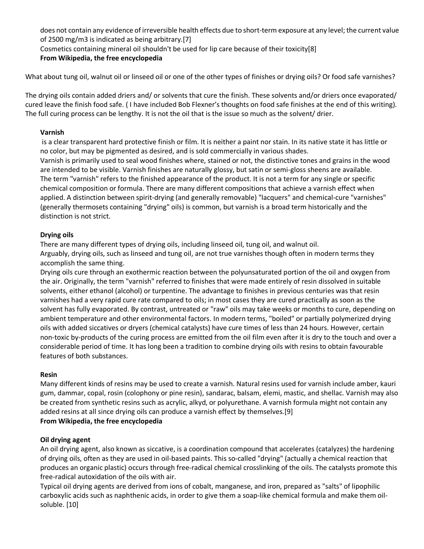does not contain any evidence of irreversible health effects due to short-term exposure at any level; the current value of 2500 mg/m3 is indicated as being arbitrary.[7]

Cosmetics containing mineral oil shouldn't be used for lip care because of their toxicity[8] **From Wikipedia, the free encyclopedia**

What about tung oil, walnut oil or linseed oil or one of the other types of finishes or drying oils? Or food safe varnishes?

The drying oils contain added driers and/ or solvents that cure the finish. These solvents and/or driers once evaporated/ cured leave the finish food safe. ( I have included Bob Flexner's thoughts on food safe finishes at the end of this writing). The full curing process can be lengthy. It is not the oil that is the issue so much as the solvent/ drier.

## **Varnish**

is a clear transparent hard protective finish or film. It is neither a paint nor stain. In its native state it has little or no color, but may be pigmented as desired, and is sold commercially in various shades.

Varnish is primarily used to seal wood finishes where, stained or not, the distinctive tones and grains in the wood are intended to be visible. Varnish finishes are naturally glossy, but satin or semi-gloss sheens are available. The term "varnish" refers to the finished appearance of the product. It is not a term for any single or specific chemical composition or formula. There are many different compositions that achieve a varnish effect when applied. A distinction between spirit-drying (and generally removable) "lacquers" and chemical-cure "varnishes" (generally thermosets containing "drying" oils) is common, but varnish is a broad term historically and the distinction is not strict.

# **Drying oils**

There are many different types of drying oils, including linseed oil, tung oil, and walnut oil. Arguably, drying oils, such as linseed and tung oil, are not true varnishes though often in modern terms they

accomplish the same thing.

Drying oils cure through an exothermic reaction between the polyunsaturated portion of the oil and oxygen from the air. Originally, the term "varnish" referred to finishes that were made entirely of resin dissolved in suitable solvents, either ethanol (alcohol) or turpentine. The advantage to finishes in previous centuries was that resin varnishes had a very rapid cure rate compared to oils; in most cases they are cured practically as soon as the solvent has fully evaporated. By contrast, untreated or "raw" oils may take weeks or months to cure, depending on ambient temperature and other environmental factors. In modern terms, "boiled" or partially polymerized drying oils with added siccatives or dryers (chemical catalysts) have cure times of less than 24 hours. However, certain non-toxic by-products of the curing process are emitted from the oil film even after it is dry to the touch and over a considerable period of time. It has long been a tradition to combine drying oils with resins to obtain favourable features of both substances.

# **Resin**

Many different kinds of resins may be used to create a varnish. Natural resins used for varnish include amber, kauri gum, dammar, copal, rosin (colophony or pine resin), sandarac, balsam, elemi, mastic, and shellac. Varnish may also be created from synthetic resins such as acrylic, alkyd, or polyurethane. A varnish formula might not contain any added resins at all since drying oils can produce a varnish effect by themselves.[9]

# **From Wikipedia, the free encyclopedia**

# **Oil drying agent**

An oil drying agent, also known as siccative, is a coordination compound that accelerates (catalyzes) the hardening of drying oils, often as they are used in oil-based paints. This so-called "drying" (actually a chemical reaction that produces an organic plastic) occurs through free-radical chemical crosslinking of the oils. The catalysts promote this free-radical autoxidation of the oils with air.

Typical oil drying agents are derived from ions of cobalt, manganese, and iron, prepared as "salts" of lipophilic carboxylic acids such as naphthenic acids, in order to give them a soap-like chemical formula and make them oilsoluble. [10]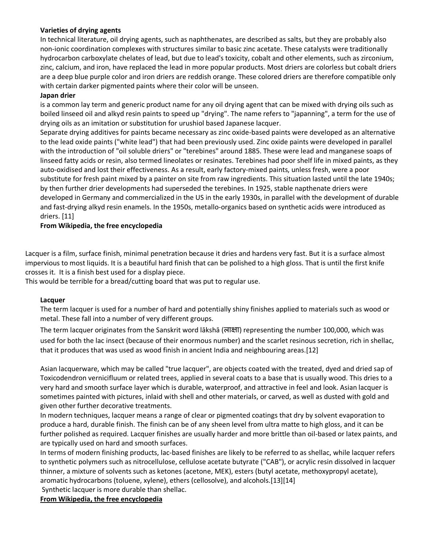## **Varieties of drying agents**

In technical literature, oil drying agents, such as naphthenates, are described as salts, but they are probably also non-ionic coordination complexes with structures similar to basic zinc acetate. These catalysts were traditionally hydrocarbon carboxylate chelates of lead, but due to lead's toxicity, cobalt and other elements, such as zirconium, zinc, calcium, and iron, have replaced the lead in more popular products. Most driers are colorless but cobalt driers are a deep blue purple color and iron driers are reddish orange. These colored driers are therefore compatible only with certain darker pigmented paints where their color will be unseen.

#### **Japan drier**

is a common lay term and generic product name for any oil drying agent that can be mixed with drying oils such as boiled linseed oil and alkyd resin paints to speed up "drying". The name refers to "japanning", a term for the use of drying oils as an imitation or substitution for urushiol based Japanese lacquer.

Separate drying additives for paints became necessary as zinc oxide-based paints were developed as an alternative to the lead oxide paints ("white lead") that had been previously used. Zinc oxide paints were developed in parallel with the introduction of "oil soluble driers" or "terebines" around 1885. These were lead and manganese soaps of linseed fatty acids or resin, also termed lineolates or resinates. Terebines had poor shelf life in mixed paints, as they auto-oxidised and lost their effectiveness. As a result, early factory-mixed paints, unless fresh, were a poor substitute for fresh paint mixed by a painter on site from raw ingredients. This situation lasted until the late 1940s; by then further drier developments had superseded the terebines. In 1925, stable napthenate driers were developed in Germany and commercialized in the US in the early 1930s, in parallel with the development of durable and fast-drying alkyd resin enamels. In the 1950s, metallo-organics based on synthetic acids were introduced as driers. [11]

## **From Wikipedia, the free encyclopedia**

Lacquer is a film, surface finish, minimal penetration because it dries and hardens very fast. But it is a surface almost impervious to most liquids. It is a beautiful hard finish that can be polished to a high gloss. That is until the first knife crosses it. It is a finish best used for a display piece.

This would be terrible for a bread/cutting board that was put to regular use.

#### **Lacquer**

The term lacquer is used for a number of hard and potentially shiny finishes applied to materials such as wood or metal. These fall into a number of very different groups.

The term lacquer originates from the Sanskrit word lākshā (ला#ा) representing the number 100,000, which was used for both the lac insect (because of their enormous number) and the scarlet resinous secretion, rich in shellac, that it produces that was used as wood finish in ancient India and neighbouring areas.[12]

Asian lacquerware, which may be called "true lacquer", are objects coated with the treated, dyed and dried sap of Toxicodendron vernicifluum or related trees, applied in several coats to a base that is usually wood. This dries to a very hard and smooth surface layer which is durable, waterproof, and attractive in feel and look. Asian lacquer is sometimes painted with pictures, inlaid with shell and other materials, or carved, as well as dusted with gold and given other further decorative treatments.

In modern techniques, lacquer means a range of clear or pigmented coatings that dry by solvent evaporation to produce a hard, durable finish. The finish can be of any sheen level from ultra matte to high gloss, and it can be further polished as required. Lacquer finishes are usually harder and more brittle than oil-based or latex paints, and are typically used on hard and smooth surfaces.

In terms of modern finishing products, lac-based finishes are likely to be referred to as shellac, while lacquer refers to synthetic polymers such as nitrocellulose, cellulose acetate butyrate ("CAB"), or acrylic resin dissolved in lacquer thinner, a mixture of solvents such as ketones (acetone, MEK), esters (butyl acetate, methoxypropyl acetate), aromatic hydrocarbons (toluene, xylene), ethers (cellosolve), and alcohols.[13][14]

#### Synthetic lacquer is more durable than shellac.

**From Wikipedia, the free encyclopedia**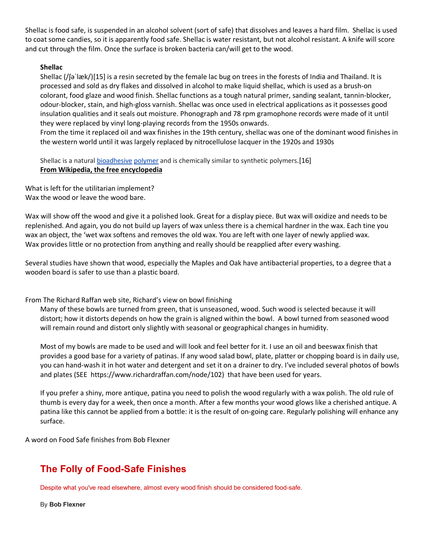Shellac is food safe, is suspended in an alcohol solvent (sort of safe) that dissolves and leaves a hard film. Shellac is used to coat some candies, so it is apparently food safe. Shellac is water resistant, but not alcohol resistant. A knife will score and cut through the film. Once the surface is broken bacteria can/will get to the wood.

#### **Shellac**

Shellac (/ʃəˈlæk/)[15] is a resin secreted by the female lac bug on trees in the forests of India and Thailand. It is processed and sold as dry flakes and dissolved in alcohol to make liquid shellac, which is used as a brush-on colorant, food glaze and wood finish. Shellac functions as a tough natural primer, sanding sealant, tannin-blocker, odour-blocker, stain, and high-gloss varnish. Shellac was once used in electrical applications as it possesses good insulation qualities and it seals out moisture. Phonograph and 78 rpm gramophone records were made of it until they were replaced by vinyl long-playing records from the 1950s onwards.

From the time it replaced oil and wax finishes in the 19th century, shellac was one of the dominant wood finishes in the western world until it was largely replaced by nitrocellulose lacquer in the 1920s and 1930s

Shellac is a natural bioadhesive polymer and is chemically similar to synthetic polymers.[16] **From Wikipedia, the free encyclopedia**

What is left for the utilitarian implement? Wax the wood or leave the wood bare.

Wax will show off the wood and give it a polished look. Great for a display piece. But wax will oxidize and needs to be replenished. And again, you do not build up layers of wax unless there is a chemical hardner in the wax. Each tine you wax an object, the 'wet wax softens and removes the old wax. You are left with one layer of newly applied wax. Wax provides little or no protection from anything and really should be reapplied after every washing.

Several studies have shown that wood, especially the Maples and Oak have antibacterial properties, to a degree that a wooden board is safer to use than a plastic board.

From The Richard Raffan web site, Richard's view on bowl finishing

Many of these bowls are turned from green, that is unseasoned, wood. Such wood is selected because it will distort; how it distorts depends on how the grain is aligned within the bowl. A bowl turned from seasoned wood will remain round and distort only slightly with seasonal or geographical changes in humidity.

Most of my bowls are made to be used and will look and feel better for it. I use an oil and beeswax finish that provides a good base for a variety of patinas. If any wood salad bowl, plate, platter or chopping board is in daily use, you can hand-wash it in hot water and detergent and set it on a drainer to dry. I've included several photos of bowls and plates (SEE https://www.richardraffan.com/node/102) that have been used for years.

If you prefer a shiny, more antique, patina you need to polish the wood regularly with a wax polish. The old rule of thumb is every day for a week, then once a month. After a few months your wood glows like a cherished antique. A patina like this cannot be applied from a bottle: it is the result of on-going care. Regularly polishing will enhance any surface.

A word on Food Safe finishes from Bob Flexner

# **The Folly of Food-Safe Finishes**

Despite what you've read elsewhere, almost every wood finish should be considered food-safe.

By **Bob Flexner**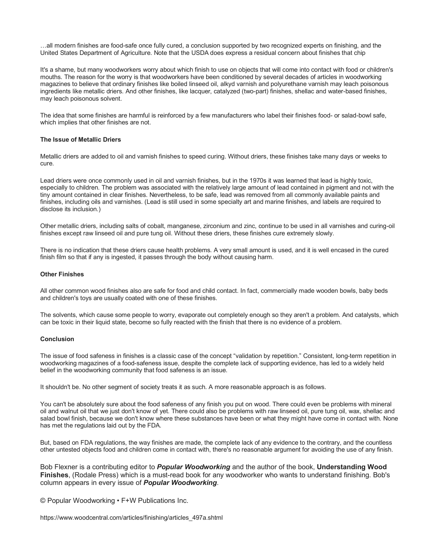…all modern finishes are food-safe once fully cured, a conclusion supported by two recognized experts on finishing, and the United States Department of Agriculture. Note that the USDA does express a residual concern about finishes that chip

It's a shame, but many woodworkers worry about which finish to use on objects that will come into contact with food or children's mouths. The reason for the worry is that woodworkers have been conditioned by several decades of articles in woodworking magazines to believe that ordinary finishes like boiled linseed oil, alkyd varnish and polyurethane varnish may leach poisonous ingredients like metallic driers. And other finishes, like lacquer, catalyzed (two-part) finishes, shellac and water-based finishes, may leach poisonous solvent.

The idea that some finishes are harmful is reinforced by a few manufacturers who label their finishes food- or salad-bowl safe, which implies that other finishes are not.

#### **The Issue of Metallic Driers**

Metallic driers are added to oil and varnish finishes to speed curing. Without driers, these finishes take many days or weeks to cure.

Lead driers were once commonly used in oil and varnish finishes, but in the 1970s it was learned that lead is highly toxic, especially to children. The problem was associated with the relatively large amount of lead contained in pigment and not with the tiny amount contained in clear finishes. Nevertheless, to be safe, lead was removed from all commonly available paints and finishes, including oils and varnishes. (Lead is still used in some specialty art and marine finishes, and labels are required to disclose its inclusion.)

Other metallic driers, including salts of cobalt, manganese, zirconium and zinc, continue to be used in all varnishes and curing-oil finishes except raw linseed oil and pure tung oil. Without these driers, these finishes cure extremely slowly.

There is no indication that these driers cause health problems. A very small amount is used, and it is well encased in the cured finish film so that if any is ingested, it passes through the body without causing harm.

#### **Other Finishes**

All other common wood finishes also are safe for food and child contact. In fact, commercially made wooden bowls, baby beds and children's toys are usually coated with one of these finishes.

The solvents, which cause some people to worry, evaporate out completely enough so they aren't a problem. And catalysts, which can be toxic in their liquid state, become so fully reacted with the finish that there is no evidence of a problem.

#### **Conclusion**

The issue of food safeness in finishes is a classic case of the concept "validation by repetition." Consistent, long-term repetition in woodworking magazines of a food-safeness issue, despite the complete lack of supporting evidence, has led to a widely held belief in the woodworking community that food safeness is an issue.

It shouldn't be. No other segment of society treats it as such. A more reasonable approach is as follows.

You can't be absolutely sure about the food safeness of any finish you put on wood. There could even be problems with mineral oil and walnut oil that we just don't know of yet. There could also be problems with raw linseed oil, pure tung oil, wax, shellac and salad bowl finish, because we don't know where these substances have been or what they might have come in contact with. None has met the regulations laid out by the FDA.

But, based on FDA regulations, the way finishes are made, the complete lack of any evidence to the contrary, and the countless other untested objects food and children come in contact with, there's no reasonable argument for avoiding the use of any finish.

Bob Flexner is a contributing editor to *Popular Woodworking* and the author of the book, **Understanding Wood Finishes**, (Rodale Press) which is a must-read book for any woodworker who wants to understand finishing. Bob's column appears in every issue of *Popular Woodworking*.

© Popular Woodworking • F+W Publications Inc.